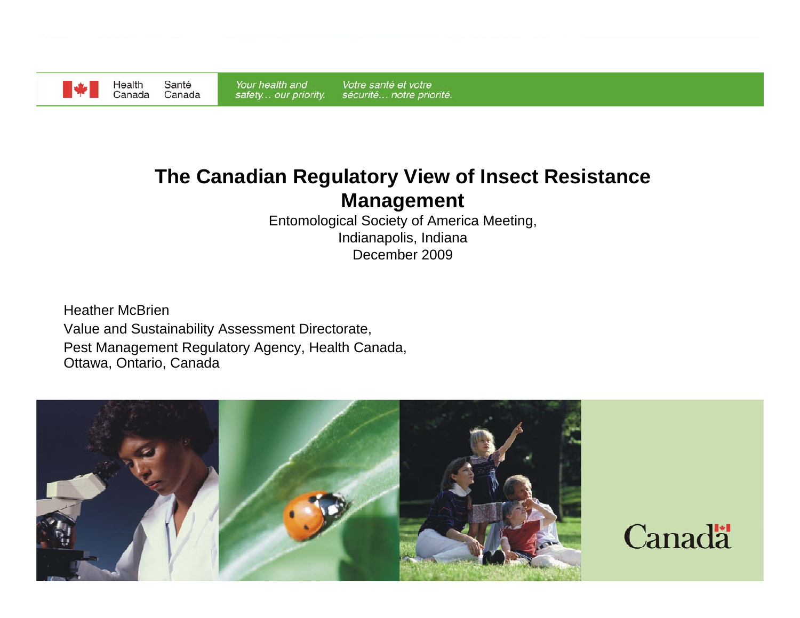

Health Santé Canada Canada

Your health and safety... our priority.

#### **The Canadian Regulatory View of Insect Resistance Management**

Entomological Society of America Meeting, Indianapolis, Indiana December 2009

Heather McBrienValue and Sustainability Assessment Directorate, Pest Management Regulatory Agency, Health Canada, Ottawa, Ontario, Canada



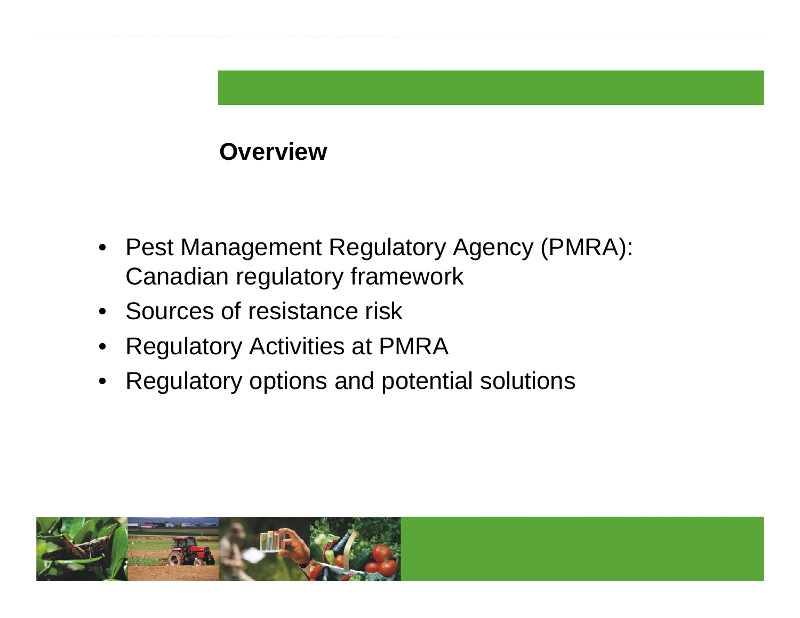### **Overview**

- Pest Management Regulatory Agency (PMRA): Canadian regulatory framework
- Sources of resistance risk
- $\bullet$ Regulatory Activities at PMRA
- $\bullet$ Regulatory options and potential solutions

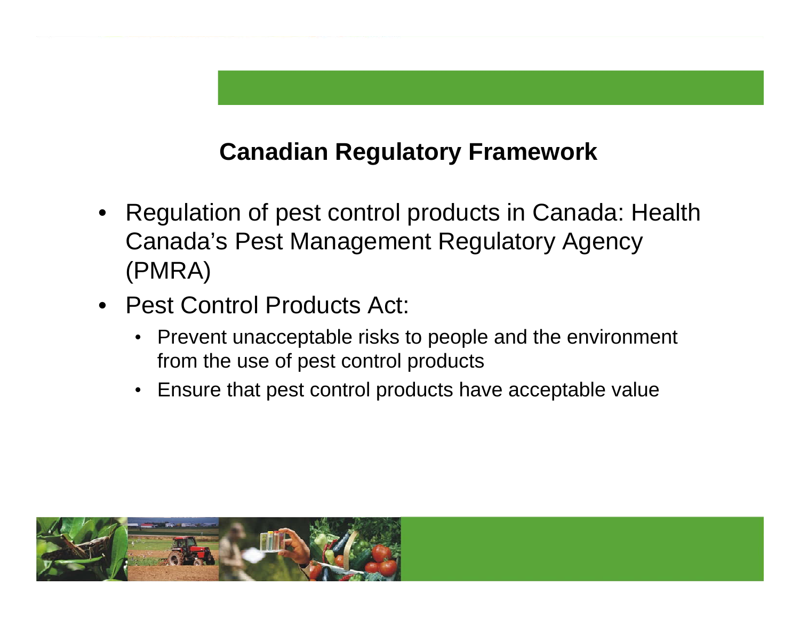# **Canadian Regulatory Framework**

- • Regulation of pest control products in Canada: Health Canada's Pest Management Regulatory Agency (PMRA)
- Pest Control Products Act:
	- Prevent unacceptable risks to people and the environment from the use of pest control products
	- Ensure that pest control products have acceptable value

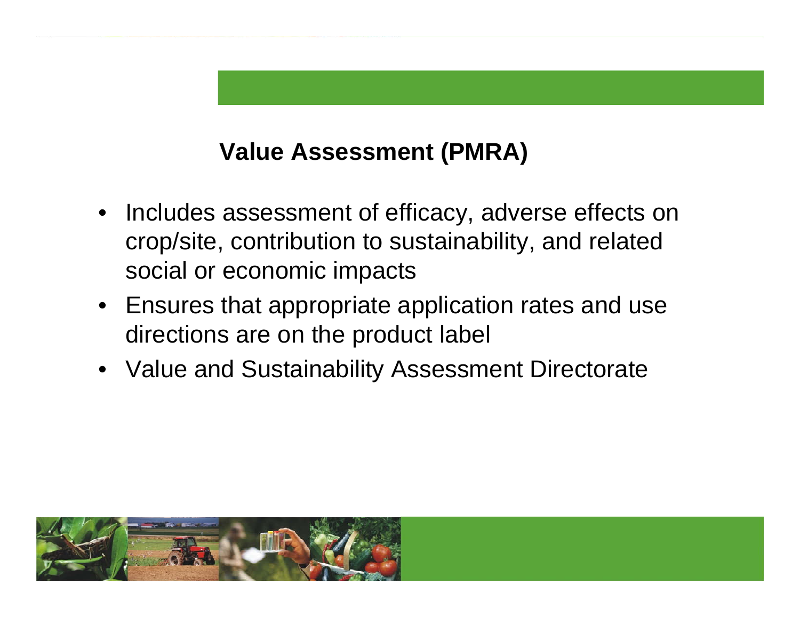# **Value Assessment (PMRA)**

- Includes assessment of efficacy, adverse effects on crop/site, contribution to sustainability, and related social or economic impacts
- Ensures that appropriate application rates and use directions are on the product label
- Value and Sustainability Assessment Directorate

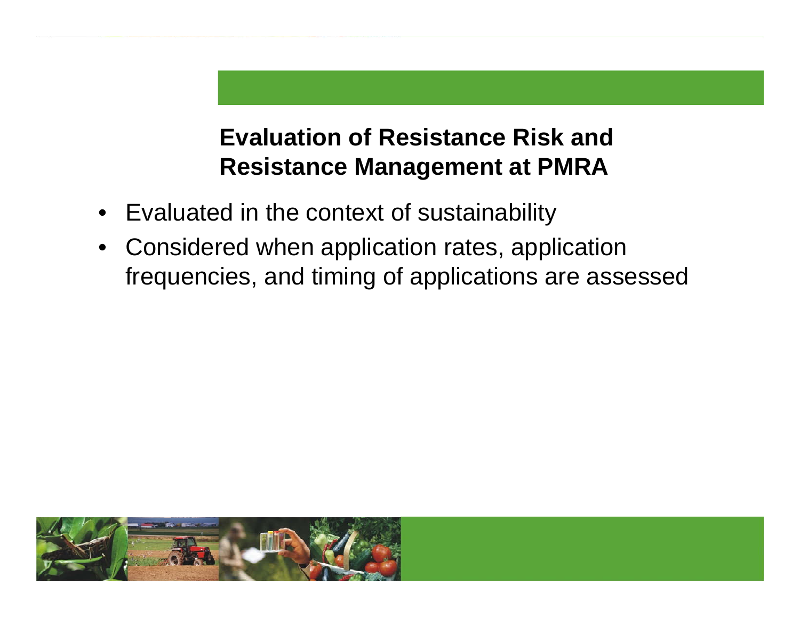# **Evaluation of Resistance Risk and Resistance Management at PMRA**

- Evaluated in the context of sustainability
- Considered when application rates, application frequencies, and timing of applications are assessed

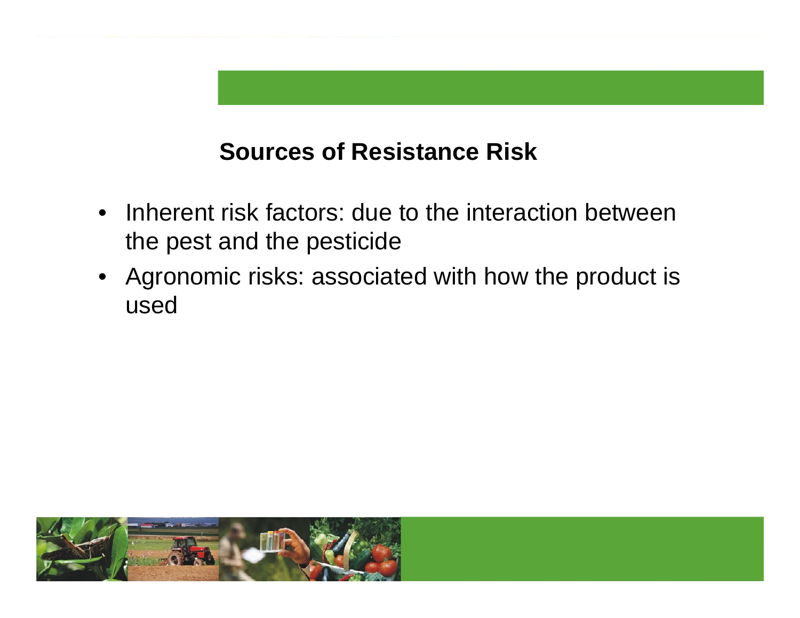## **Sources of Resistance Risk**

- Inherent risk factors: due to the interaction between the pest and the pesticide
- Agronomic risks: associated with how the product is used

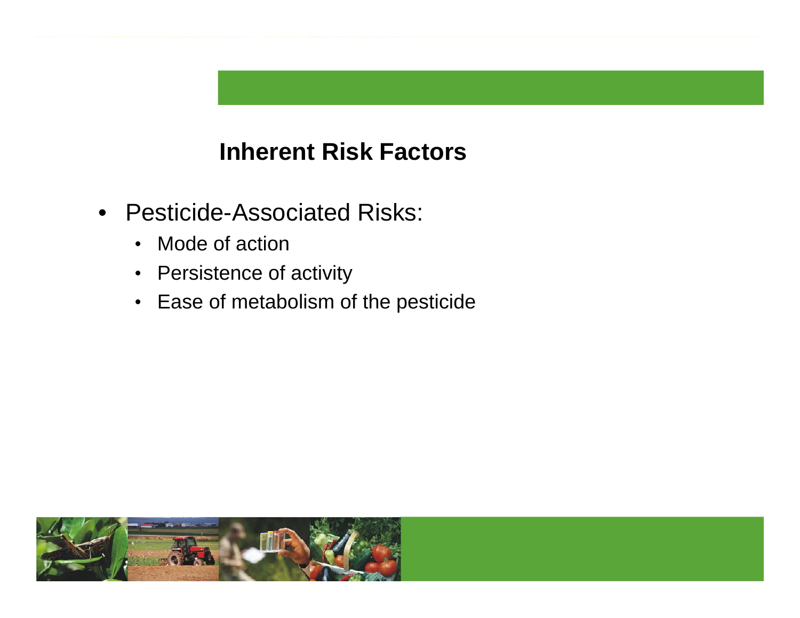### **Inherent Risk Factors**

- Pesticide-Associated Risks:
	- Mode of action
	- Persistence of activity
	- Ease of metabolism of the pesticide

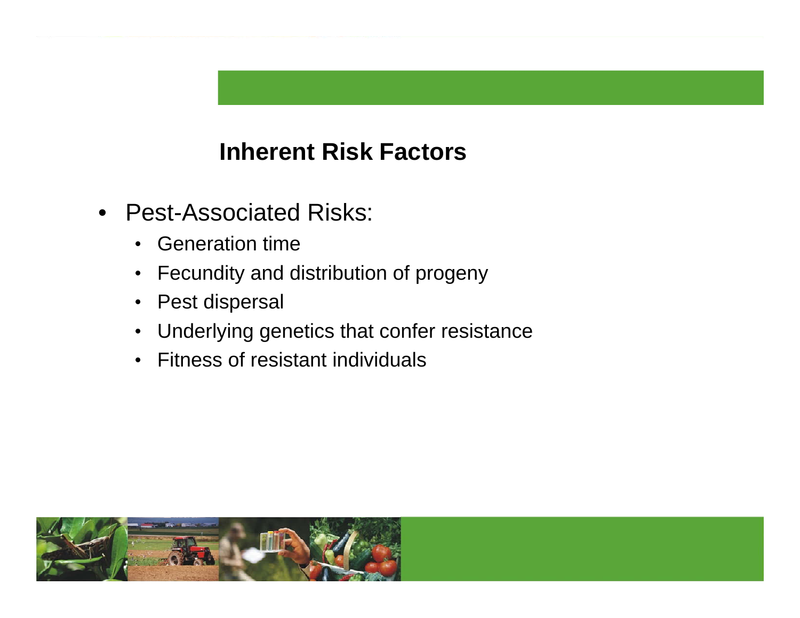### **Inherent Risk Factors**

- Pest-Associated Risks:
	- Generation time
	- Fecundity and distribution of progeny
	- Pest dispersal
	- Underlying genetics that confer resistance
	- Fitness of resistant individuals

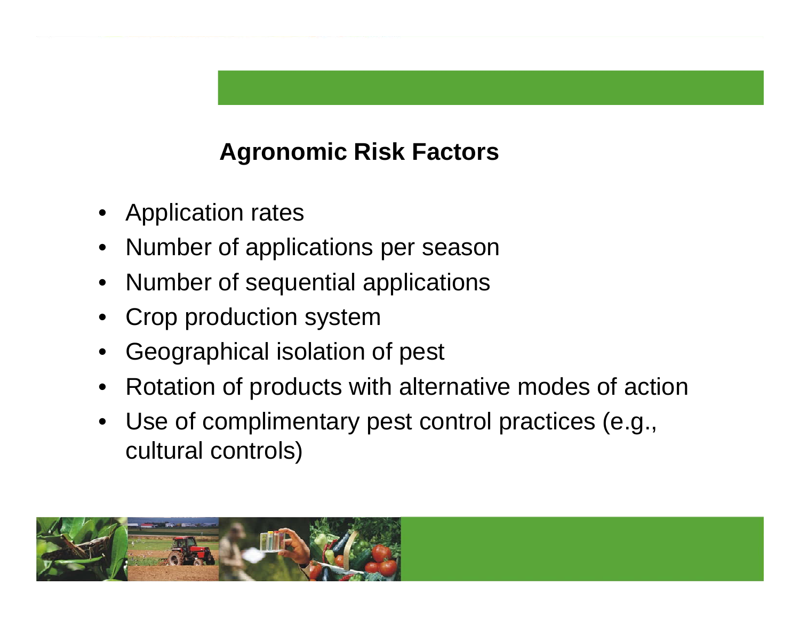# **Agronomic Risk Factors**

- Application rates
- •Number of applications per season
- $\bullet$ Number of sequential applications
- •Crop production system
- •Geographical isolation of pest
- $\bullet$ Rotation of products with alternative modes of action
- $\bullet$  Use of complimentary pest control practices (e.g., cultural controls)

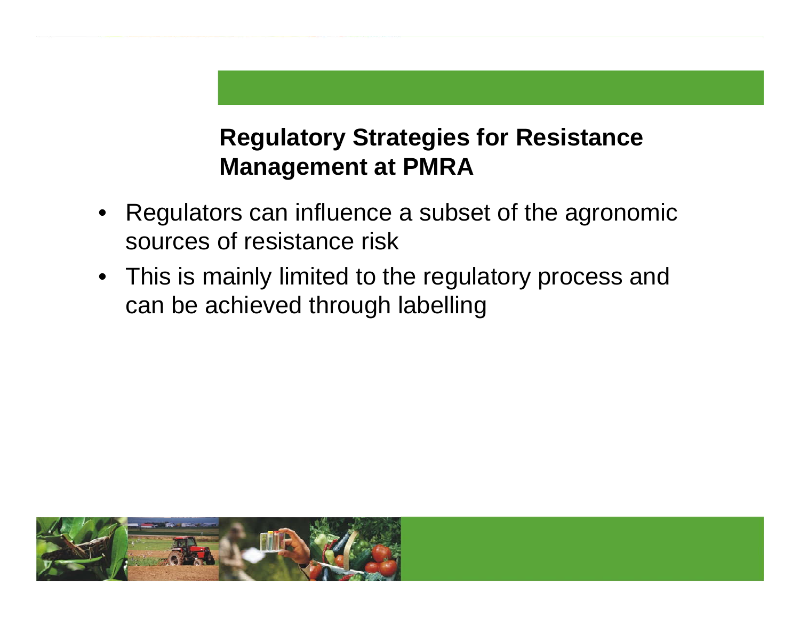# **Regulatory Strategies for Resistance Management at PMRA**

- • Regulators can influence a subset of the agronomic sources of resistance risk
- This is mainly limited to the regulatory process and can be achieved through labelling

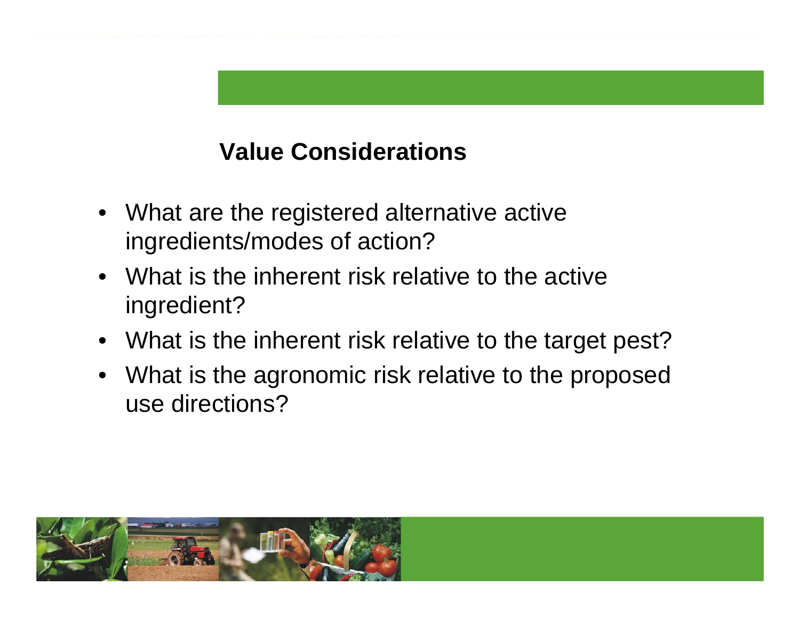### **Value Considerations**

- What are the registered alternative active ingredients/modes of action?
- What is the inherent risk relative to the active ingredient?
- What is the inherent risk relative to the target pest?
- What is the agronomic risk relative to the proposed use directions?

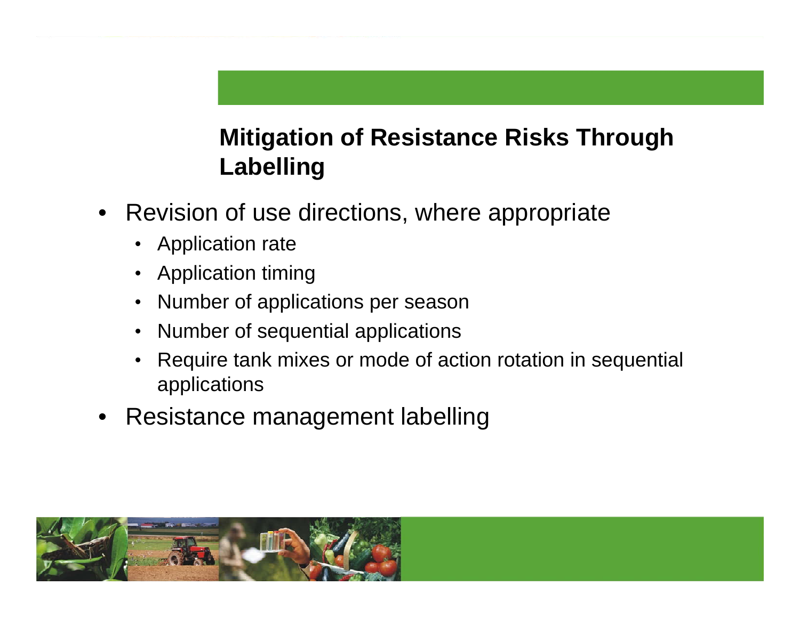# **Mitigation of Resistance Risks Through Labelling**

- $\bullet$  Revision of use directions, where appropriate
	- •Application rate
	- •Application timing
	- •Number of applications per season
	- •Number of sequential applications
	- • Require tank mixes or mode of action rotation in sequential applications
- •Resistance management labelling

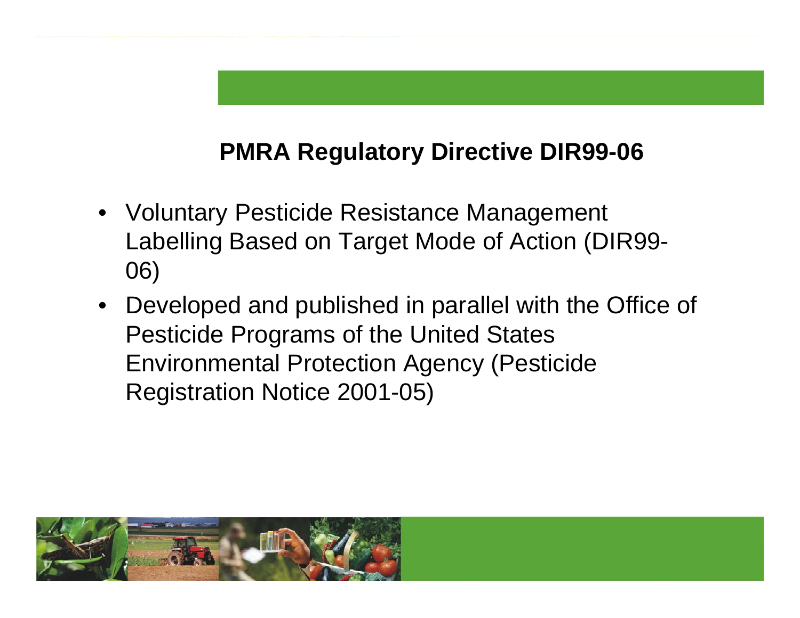# **PMRA Regulatory Directive DIR99-06**

- Voluntary Pesticide Resistance Management Labelling Based on Target Mode of Action (DIR99- 06)
- Developed and published in parallel with the Office of Pesticide Programs of the United States Environmental Protection Agency (Pesticide Registration Notice 2001-05)

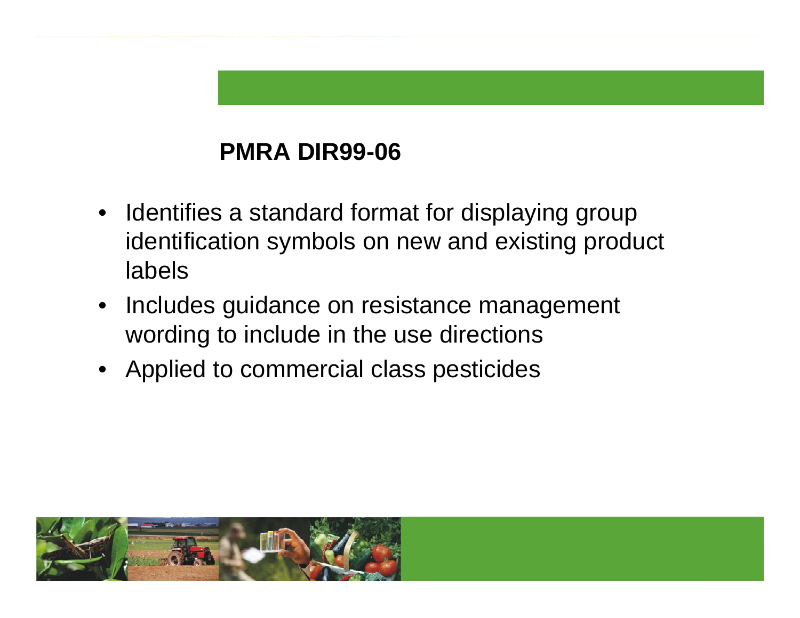# **PMRA DIR99-06**

- Identifies a standard format for displaying group identification symbols on new and existing product labels
- $\bullet$  Includes guidance on resistance management wording to include in the use directions
- Applied to commercial class pesticides

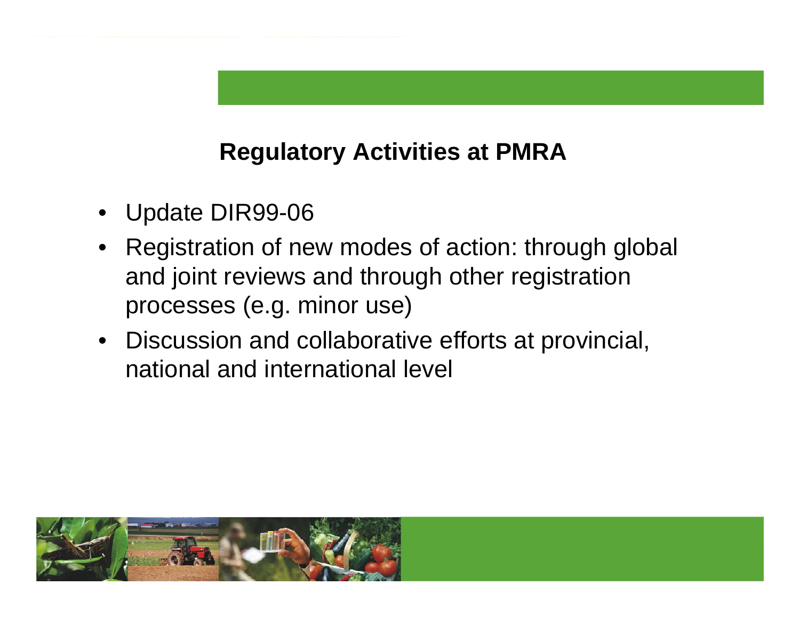# **Regulatory Activities at PMRA**

- •Update DIR99-06
- • Registration of new modes of action: through global and joint reviews and through other registration processes (e.g. minor use)
- Discussion and collaborative efforts at provincial, national and international level

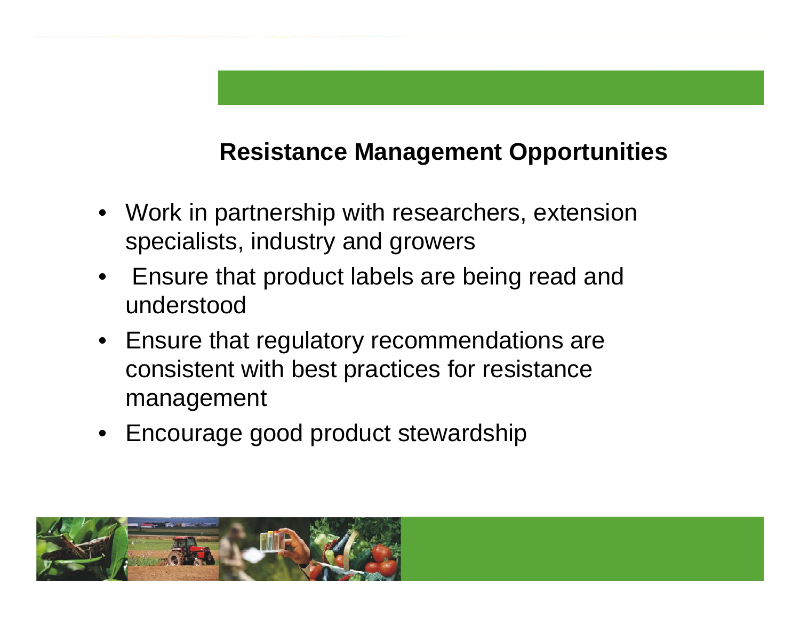# **Resistance Management Opportunities**

- Work in partnership with researchers, extension specialists, industry and growers
- $\bullet$  Ensure that product labels are being read and understood
- Ensure that regulatory recommendations are consistent with best practices for resistance management
- Encourage good product stewardship

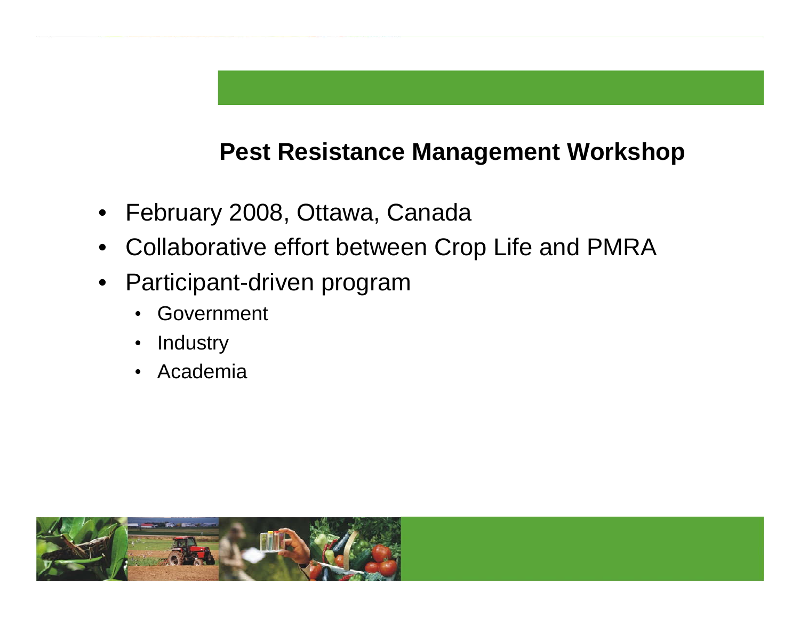### **Pest Resistance Management Workshop**

- February 2008, Ottawa, Canada
- $\bullet$ Collaborative effort between Crop Life and PMRA
- Participant-driven program
	- •Government
	- •**Industry**
	- •Academia

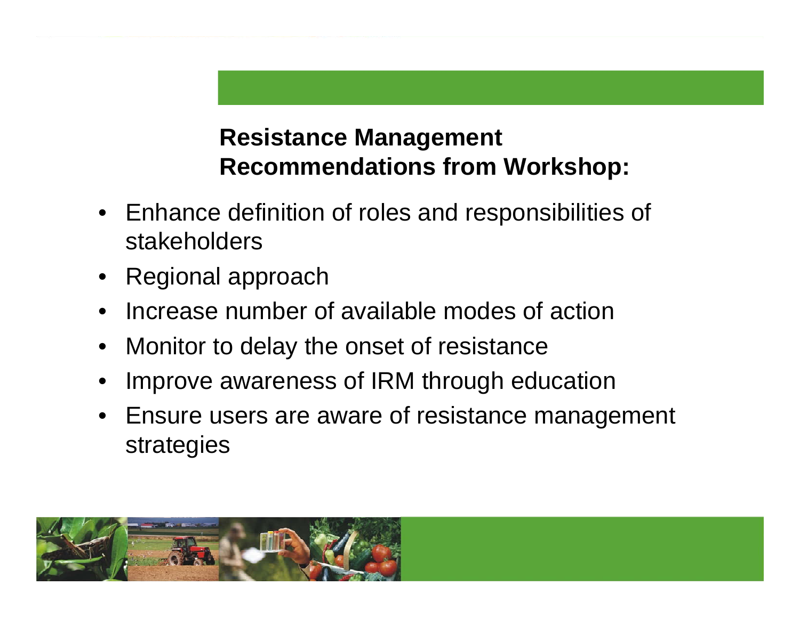# **Resistance Management Recommendations from Workshop:**

- Enhance definition of roles and responsibilities of stakeholders
- Regional approach
- •Increase number of available modes of action
- $\bullet$ Monitor to delay the onset of resistance
- •Improve awareness of IRM through education
- Ensure users are aware of resistance management strategies

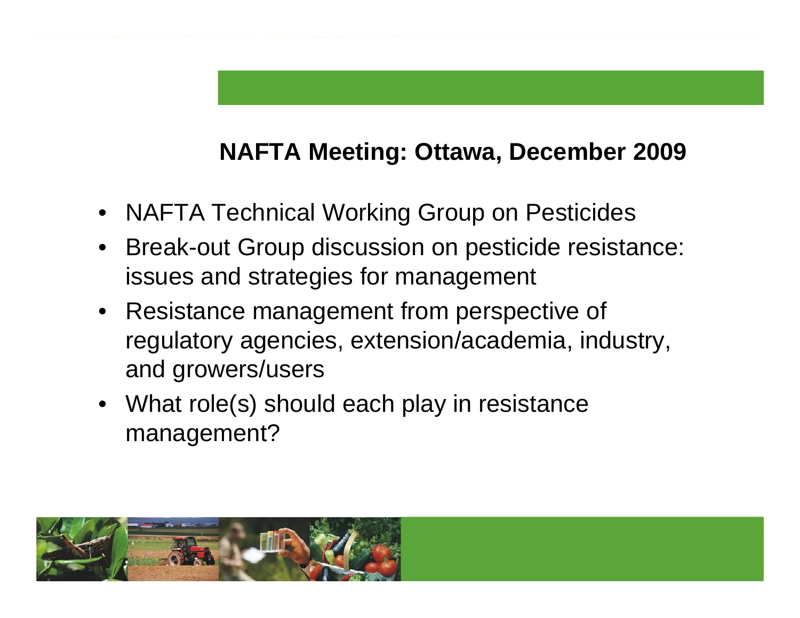# **NAFTA Meeting: Ottawa, December 2009**

- NAFTA Technical Working Group on Pesticides
- $\bullet$  Break-out Group discussion on pesticide resistance: issues and strategies for management
- Resistance management from perspective of regulatory agencies, extension/academia, industry, and growers/users
- What role(s) should each play in resistance management?

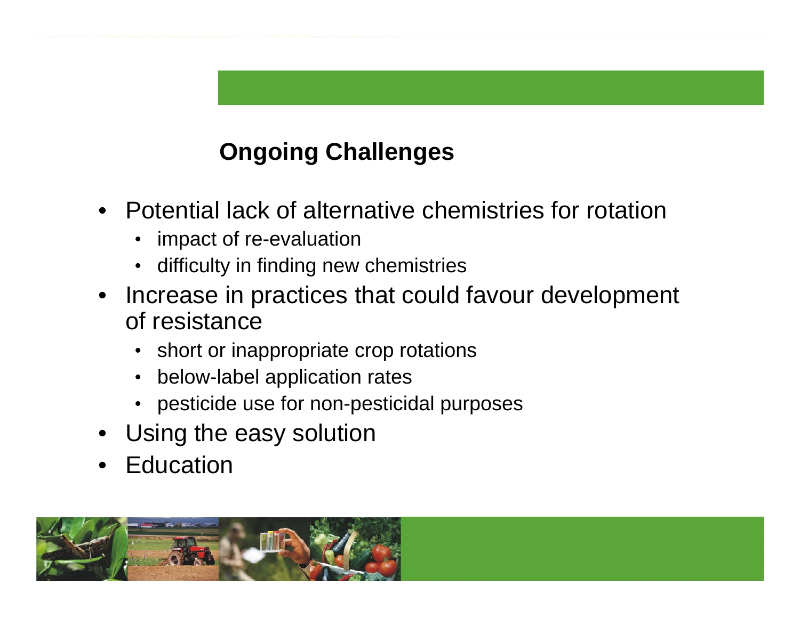# **Ongoing Challenges**

- Potential lack of alternative chemistries for rotation
	- impact of re-evaluation
	- difficulty in finding new chemistries
- Increase in practices that could favour development of resistance
	- short or inappropriate crop rotations
	- •below-label application rates
	- pesticide use for non-pesticidal purposes
- Using the easy solution
- Education